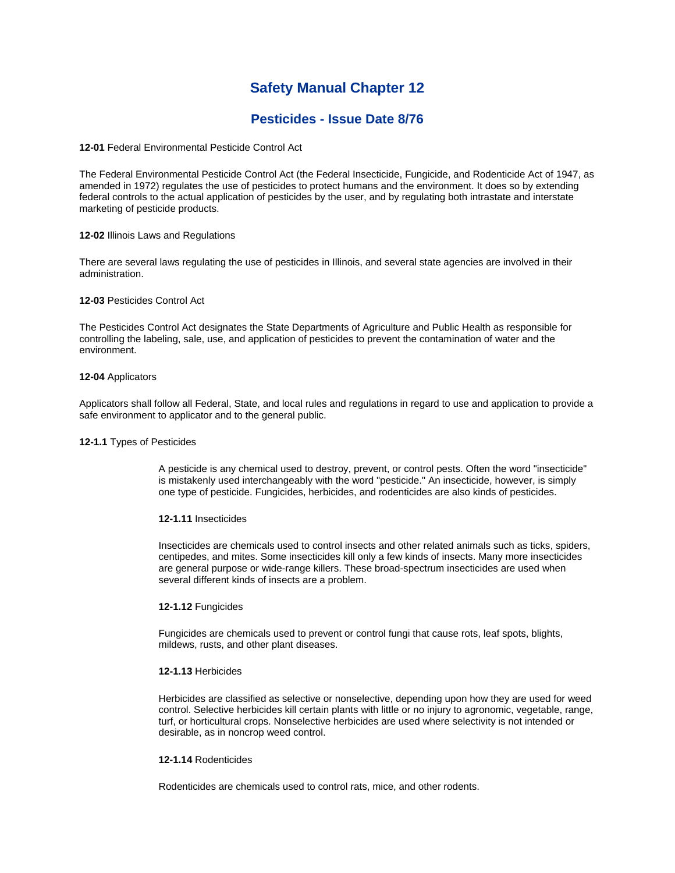# **Safety Manual Chapter 12**

# **Pesticides - Issue Date 8/76**

**12-01** Federal Environmental Pesticide Control Act

The Federal Environmental Pesticide Control Act (the Federal Insecticide, Fungicide, and Rodenticide Act of 1947, as amended in 1972) regulates the use of pesticides to protect humans and the environment. It does so by extending federal controls to the actual application of pesticides by the user, and by regulating both intrastate and interstate marketing of pesticide products.

# **12-02** Illinois Laws and Regulations

There are several laws regulating the use of pesticides in Illinois, and several state agencies are involved in their administration.

# **12-03** Pesticides Control Act

The Pesticides Control Act designates the State Departments of Agriculture and Public Health as responsible for controlling the labeling, sale, use, and application of pesticides to prevent the contamination of water and the environment.

# **12-04** Applicators

Applicators shall follow all Federal, State, and local rules and regulations in regard to use and application to provide a safe environment to applicator and to the general public.

## **12-1.1** Types of Pesticides

A pesticide is any chemical used to destroy, prevent, or control pests. Often the word "insecticide" is mistakenly used interchangeably with the word "pesticide." An insecticide, however, is simply one type of pesticide. Fungicides, herbicides, and rodenticides are also kinds of pesticides.

## **12-1.11** Insecticides

Insecticides are chemicals used to control insects and other related animals such as ticks, spiders, centipedes, and mites. Some insecticides kill only a few kinds of insects. Many more insecticides are general purpose or wide-range killers. These broad-spectrum insecticides are used when several different kinds of insects are a problem.

# **12-1.12** Fungicides

Fungicides are chemicals used to prevent or control fungi that cause rots, leaf spots, blights, mildews, rusts, and other plant diseases.

## **12-1.13** Herbicides

Herbicides are classified as selective or nonselective, depending upon how they are used for weed control. Selective herbicides kill certain plants with little or no injury to agronomic, vegetable, range, turf, or horticultural crops. Nonselective herbicides are used where selectivity is not intended or desirable, as in noncrop weed control.

## **12-1.14** Rodenticides

Rodenticides are chemicals used to control rats, mice, and other rodents.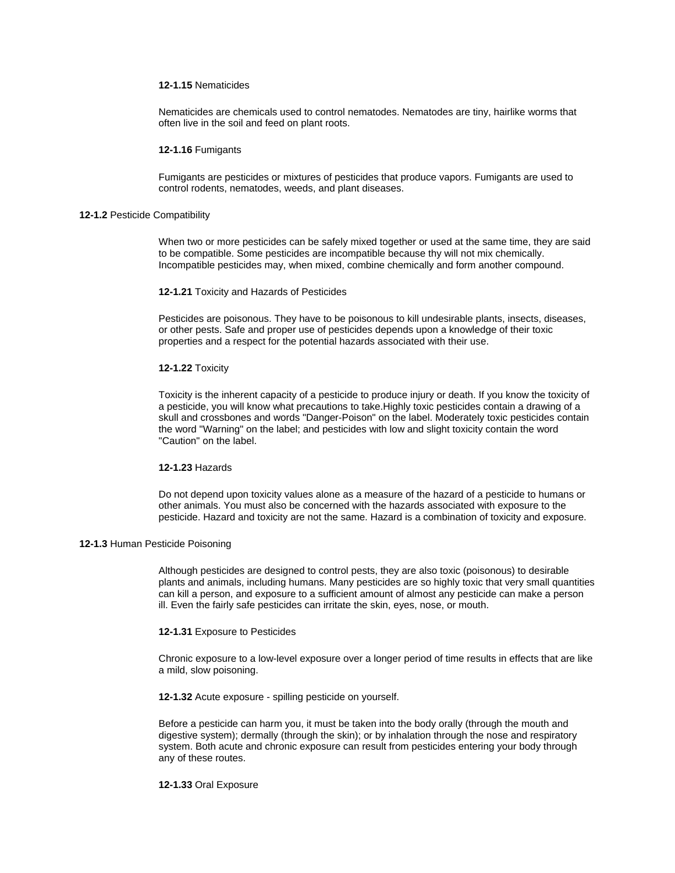# **12-1.15** Nematicides

Nematicides are chemicals used to control nematodes. Nematodes are tiny, hairlike worms that often live in the soil and feed on plant roots.

### **12-1.16** Fumigants

Fumigants are pesticides or mixtures of pesticides that produce vapors. Fumigants are used to control rodents, nematodes, weeds, and plant diseases.

### **12-1.2** Pesticide Compatibility

When two or more pesticides can be safely mixed together or used at the same time, they are said to be compatible. Some pesticides are incompatible because thy will not mix chemically. Incompatible pesticides may, when mixed, combine chemically and form another compound.

### **12-1.21** Toxicity and Hazards of Pesticides

Pesticides are poisonous. They have to be poisonous to kill undesirable plants, insects, diseases, or other pests. Safe and proper use of pesticides depends upon a knowledge of their toxic properties and a respect for the potential hazards associated with their use.

### **12-1.22** Toxicity

Toxicity is the inherent capacity of a pesticide to produce injury or death. If you know the toxicity of a pesticide, you will know what precautions to take.Highly toxic pesticides contain a drawing of a skull and crossbones and words "Danger-Poison" on the label. Moderately toxic pesticides contain the word "Warning" on the label; and pesticides with low and slight toxicity contain the word "Caution" on the label.

# **12-1.23** Hazards

Do not depend upon toxicity values alone as a measure of the hazard of a pesticide to humans or other animals. You must also be concerned with the hazards associated with exposure to the pesticide. Hazard and toxicity are not the same. Hazard is a combination of toxicity and exposure.

# **12-1.3** Human Pesticide Poisoning

Although pesticides are designed to control pests, they are also toxic (poisonous) to desirable plants and animals, including humans. Many pesticides are so highly toxic that very small quantities can kill a person, and exposure to a sufficient amount of almost any pesticide can make a person ill. Even the fairly safe pesticides can irritate the skin, eyes, nose, or mouth.

#### **12-1.31** Exposure to Pesticides

Chronic exposure to a low-level exposure over a longer period of time results in effects that are like a mild, slow poisoning.

**12-1.32** Acute exposure - spilling pesticide on yourself.

Before a pesticide can harm you, it must be taken into the body orally (through the mouth and digestive system); dermally (through the skin); or by inhalation through the nose and respiratory system. Both acute and chronic exposure can result from pesticides entering your body through any of these routes.

#### **12-1.33** Oral Exposure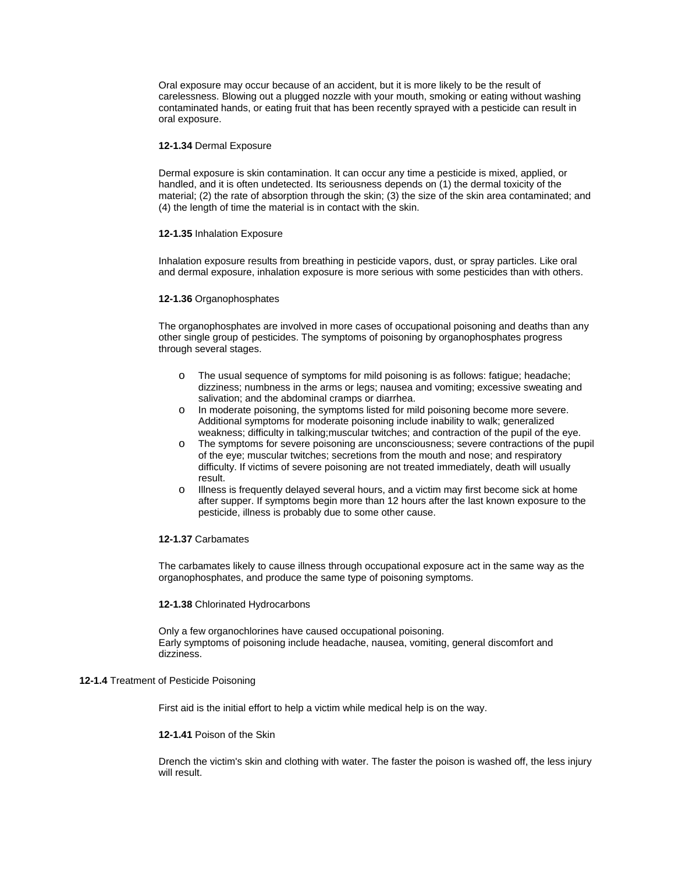Oral exposure may occur because of an accident, but it is more likely to be the result of carelessness. Blowing out a plugged nozzle with your mouth, smoking or eating without washing contaminated hands, or eating fruit that has been recently sprayed with a pesticide can result in oral exposure.

## **12-1.34** Dermal Exposure

Dermal exposure is skin contamination. It can occur any time a pesticide is mixed, applied, or handled, and it is often undetected. Its seriousness depends on (1) the dermal toxicity of the material; (2) the rate of absorption through the skin; (3) the size of the skin area contaminated; and (4) the length of time the material is in contact with the skin.

### **12-1.35** Inhalation Exposure

Inhalation exposure results from breathing in pesticide vapors, dust, or spray particles. Like oral and dermal exposure, inhalation exposure is more serious with some pesticides than with others.

#### **12-1.36** Organophosphates

The organophosphates are involved in more cases of occupational poisoning and deaths than any other single group of pesticides. The symptoms of poisoning by organophosphates progress through several stages.

- o The usual sequence of symptoms for mild poisoning is as follows: fatigue; headache; dizziness; numbness in the arms or legs; nausea and vomiting; excessive sweating and salivation; and the abdominal cramps or diarrhea.
- o In moderate poisoning, the symptoms listed for mild poisoning become more severe. Additional symptoms for moderate poisoning include inability to walk; generalized weakness; difficulty in talking;muscular twitches; and contraction of the pupil of the eye.
- o The symptoms for severe poisoning are unconsciousness; severe contractions of the pupil of the eye; muscular twitches; secretions from the mouth and nose; and respiratory difficulty. If victims of severe poisoning are not treated immediately, death will usually result.
- o Illness is frequently delayed several hours, and a victim may first become sick at home after supper. If symptoms begin more than 12 hours after the last known exposure to the pesticide, illness is probably due to some other cause.

# **12-1.37** Carbamates

The carbamates likely to cause illness through occupational exposure act in the same way as the organophosphates, and produce the same type of poisoning symptoms.

#### **12-1.38** Chlorinated Hydrocarbons

Only a few organochlorines have caused occupational poisoning. Early symptoms of poisoning include headache, nausea, vomiting, general discomfort and dizziness.

# **12-1.4** Treatment of Pesticide Poisoning

First aid is the initial effort to help a victim while medical help is on the way.

# **12-1.41** Poison of the Skin

Drench the victim's skin and clothing with water. The faster the poison is washed off, the less injury will result.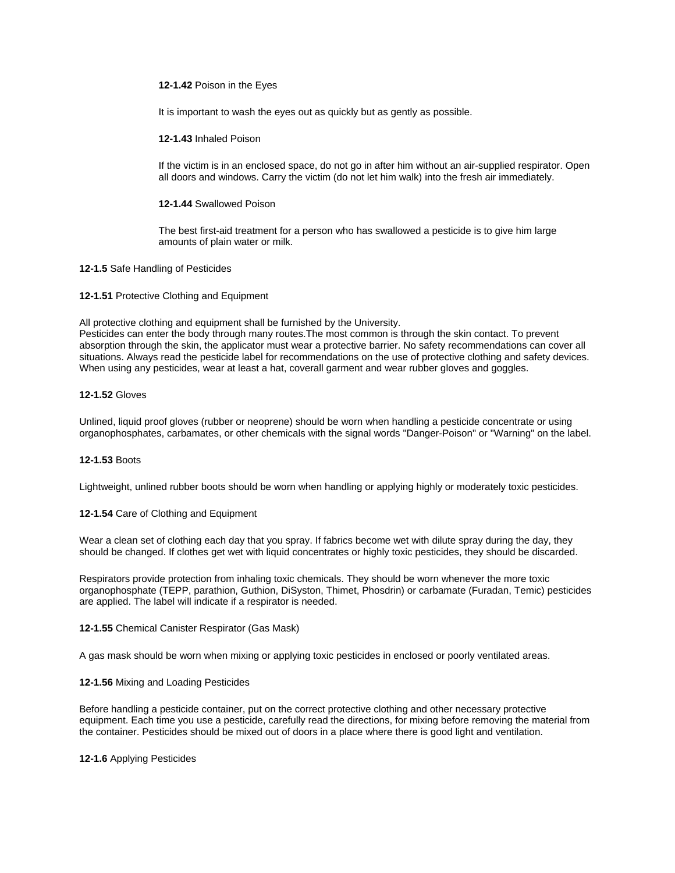# **12-1.42** Poison in the Eyes

It is important to wash the eyes out as quickly but as gently as possible.

**12-1.43** Inhaled Poison

If the victim is in an enclosed space, do not go in after him without an air-supplied respirator. Open all doors and windows. Carry the victim (do not let him walk) into the fresh air immediately.

**12-1.44** Swallowed Poison

The best first-aid treatment for a person who has swallowed a pesticide is to give him large amounts of plain water or milk.

**12-1.5** Safe Handling of Pesticides

**12-1.51** Protective Clothing and Equipment

All protective clothing and equipment shall be furnished by the University.

Pesticides can enter the body through many routes.The most common is through the skin contact. To prevent absorption through the skin, the applicator must wear a protective barrier. No safety recommendations can cover all situations. Always read the pesticide label for recommendations on the use of protective clothing and safety devices. When using any pesticides, wear at least a hat, coverall garment and wear rubber gloves and goggles.

# **12-1.52** Gloves

Unlined, liquid proof gloves (rubber or neoprene) should be worn when handling a pesticide concentrate or using organophosphates, carbamates, or other chemicals with the signal words "Danger-Poison" or "Warning" on the label.

# **12-1.53** Boots

Lightweight, unlined rubber boots should be worn when handling or applying highly or moderately toxic pesticides.

## **12-1.54** Care of Clothing and Equipment

Wear a clean set of clothing each day that you spray. If fabrics become wet with dilute spray during the day, they should be changed. If clothes get wet with liquid concentrates or highly toxic pesticides, they should be discarded.

Respirators provide protection from inhaling toxic chemicals. They should be worn whenever the more toxic organophosphate (TEPP, parathion, Guthion, DiSyston, Thimet, Phosdrin) or carbamate (Furadan, Temic) pesticides are applied. The label will indicate if a respirator is needed.

## **12-1.55** Chemical Canister Respirator (Gas Mask)

A gas mask should be worn when mixing or applying toxic pesticides in enclosed or poorly ventilated areas.

## **12-1.56** Mixing and Loading Pesticides

Before handling a pesticide container, put on the correct protective clothing and other necessary protective equipment. Each time you use a pesticide, carefully read the directions, for mixing before removing the material from the container. Pesticides should be mixed out of doors in a place where there is good light and ventilation.

# **12-1.6** Applying Pesticides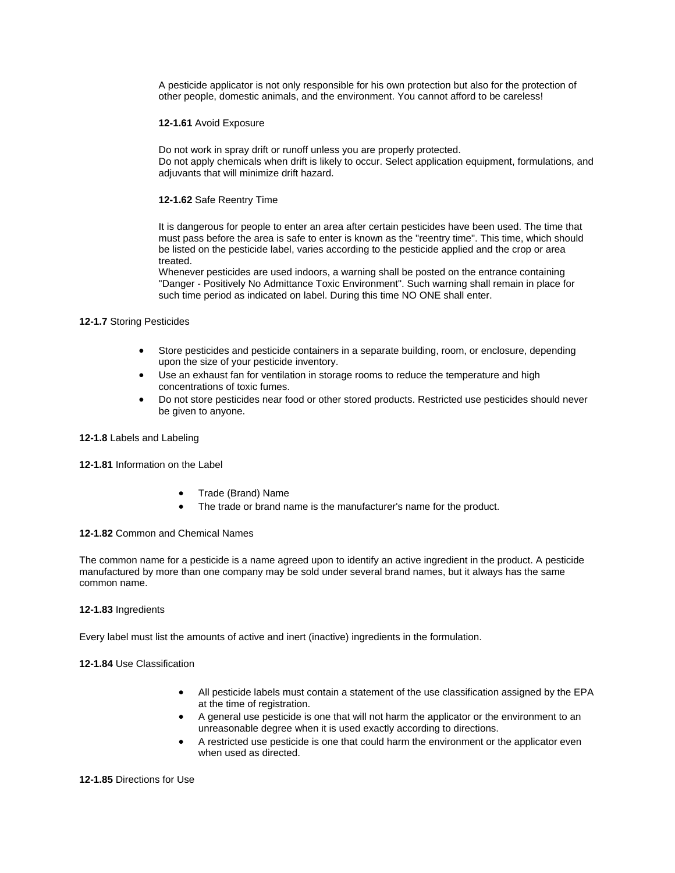A pesticide applicator is not only responsible for his own protection but also for the protection of other people, domestic animals, and the environment. You cannot afford to be careless!

# **12-1.61** Avoid Exposure

Do not work in spray drift or runoff unless you are properly protected. Do not apply chemicals when drift is likely to occur. Select application equipment, formulations, and adjuvants that will minimize drift hazard.

# **12-1.62** Safe Reentry Time

It is dangerous for people to enter an area after certain pesticides have been used. The time that must pass before the area is safe to enter is known as the "reentry time". This time, which should be listed on the pesticide label, varies according to the pesticide applied and the crop or area treated.

Whenever pesticides are used indoors, a warning shall be posted on the entrance containing "Danger - Positively No Admittance Toxic Environment". Such warning shall remain in place for such time period as indicated on label. During this time NO ONE shall enter.

# **12-1.7** Storing Pesticides

- Store pesticides and pesticide containers in a separate building, room, or enclosure, depending upon the size of your pesticide inventory.
- Use an exhaust fan for ventilation in storage rooms to reduce the temperature and high concentrations of toxic fumes.
- Do not store pesticides near food or other stored products. Restricted use pesticides should never be given to anyone.

# **12-1.8** Labels and Labeling

# **12-1.81** Information on the Label

- Trade (Brand) Name
- The trade or brand name is the manufacturer's name for the product.

# **12-1.82** Common and Chemical Names

The common name for a pesticide is a name agreed upon to identify an active ingredient in the product. A pesticide manufactured by more than one company may be sold under several brand names, but it always has the same common name.

# **12-1.83** Ingredients

Every label must list the amounts of active and inert (inactive) ingredients in the formulation.

# **12-1.84** Use Classification

- All pesticide labels must contain a statement of the use classification assigned by the EPA at the time of registration.
- A general use pesticide is one that will not harm the applicator or the environment to an unreasonable degree when it is used exactly according to directions.
- A restricted use pesticide is one that could harm the environment or the applicator even when used as directed.

## **12-1.85** Directions for Use